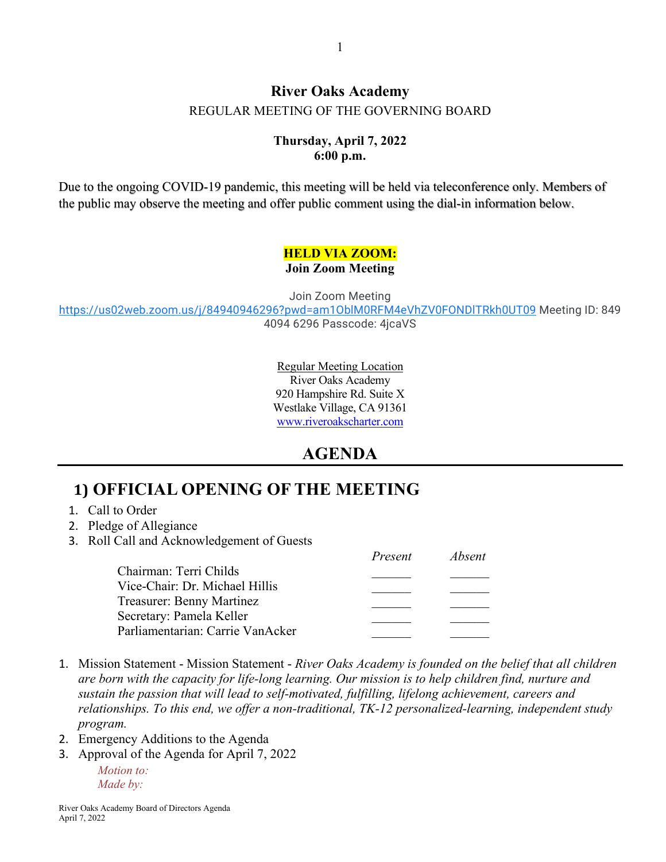#### **River Oaks Academy** REGULAR MEETING OF THE GOVERNING BOARD

#### **Thursday, April 7, 2022 6:00 p.m.**

Due to the ongoing COVID-19 pandemic, this meeting will be held via teleconference only. Members of the public may observe the meeting and offer public comment using the dial-in information below.

#### **HELD VIA ZOOM: Join Zoom Meeting**

Join Zoom Meeting

<https://us02web.zoom.us/j/84940946296?pwd=am1OblM0RFM4eVhZV0FONDlTRkh0UT09> Meeting ID: 849 4094 6296 Passcode: 4jcaVS

> Regular Meeting Location River Oaks Academy 920 Hampshire Rd. Suite X Westlake Village, CA 91361 [www.riveroakscharter.com](http://www.riveroakscharter.com/)

### **AGENDA**

# **1) OFFICIAL OPENING OF THE MEETING**

- 1. Call to Order
- 2. Pledge of Allegiance
- 3. Roll Call and Acknowledgement of Guests

|                                  | Present | <i>Absent</i> |
|----------------------------------|---------|---------------|
| Chairman: Terri Childs           |         |               |
| Vice-Chair: Dr. Michael Hillis   |         |               |
| Treasurer: Benny Martinez        |         |               |
| Secretary: Pamela Keller         |         |               |
| Parliamentarian: Carrie VanAcker |         |               |

- 1. Mission Statement Mission Statement *River Oaks Academy is founded on the belief that all children are born with the capacity for life-long learning. Our mission is to help children find, nurture and sustain the passion that will lead to self-motivated, fulfilling, lifelong achievement, careers and relationships. To this end, we offer a non-traditional, TK-12 personalized-learning, independent study program.*
- 2. Emergency Additions to the Agenda
- 3. Approval of the Agenda for April 7, 2022

*Motion to: Made by:*

River Oaks Academy Board of Directors Agenda April 7, 2022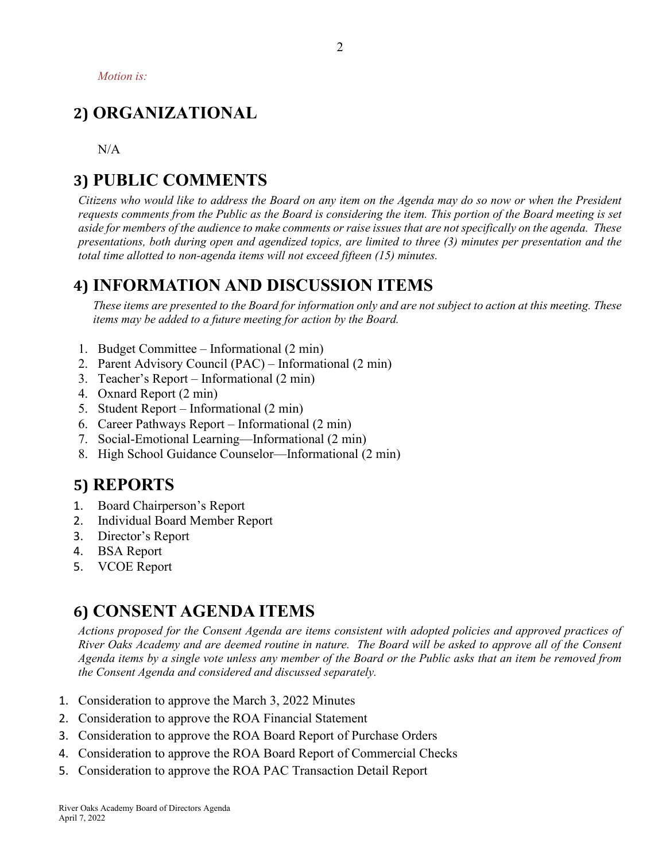*Motion is:*

# **2) ORGANIZATIONAL**

N/A

# **3) PUBLIC COMMENTS**

*Citizens who would like to address the Board on any item on the Agenda may do so now or when the President requests comments from the Public as the Board is considering the item. This portion of the Board meeting is set aside for members of the audience to make comments or raise issues that are not specifically on the agenda. These presentations, both during open and agendized topics, are limited to three (3) minutes per presentation and the total time allotted to non-agenda items will not exceed fifteen (15) minutes.*

## **4) INFORMATION AND DISCUSSION ITEMS**

*These items are presented to the Board for information only and are not subject to action at this meeting. These items may be added to a future meeting for action by the Board.*

- 1. Budget Committee Informational (2 min)
- 2. Parent Advisory Council (PAC) Informational (2 min)
- 3. Teacher's Report Informational (2 min)
- 4. Oxnard Report (2 min)
- 5. Student Report Informational (2 min)
- 6. Career Pathways Report Informational (2 min)
- 7. Social-Emotional Learning—Informational (2 min)
- 8. High School Guidance Counselor—Informational (2 min)

### **5) REPORTS**

- 1. Board Chairperson's Report
- 2. Individual Board Member Report
- 3. Director's Report
- 4. BSA Report
- 5. VCOE Report

## **6) CONSENT AGENDA ITEMS**

*Actions proposed for the Consent Agenda are items consistent with adopted policies and approved practices of River Oaks Academy and are deemed routine in nature. The Board will be asked to approve all of the Consent Agenda items by a single vote unless any member of the Board or the Public asks that an item be removed from the Consent Agenda and considered and discussed separately.*

- 1. Consideration to approve the March 3, 2022 Minutes
- 2. Consideration to approve the ROA Financial Statement
- 3. Consideration to approve the ROA Board Report of Purchase Orders
- 4. Consideration to approve the ROA Board Report of Commercial Checks
- 5. Consideration to approve the ROA PAC Transaction Detail Report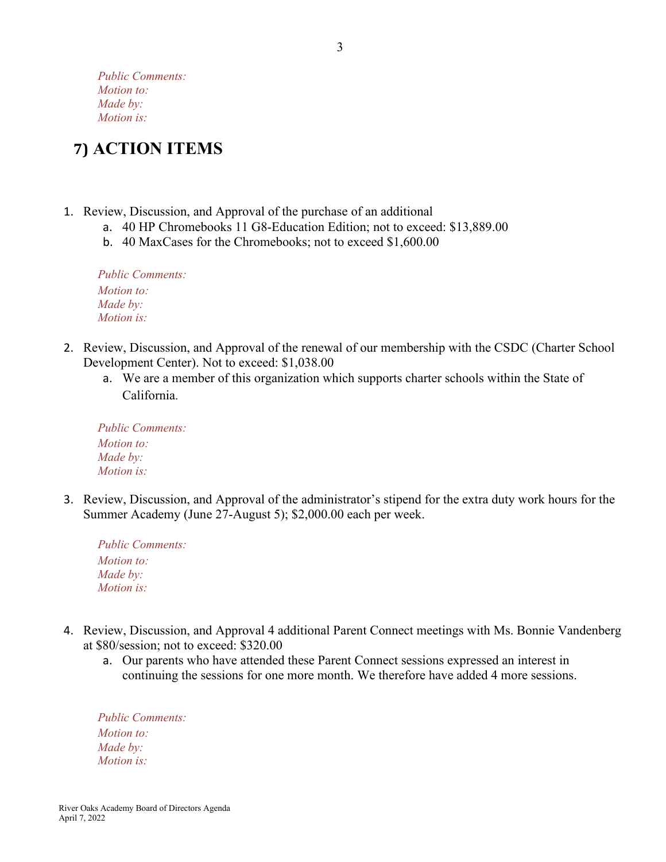*Public Comments: Motion to: Made by: Motion is:*

# **7) ACTION ITEMS**

- 1. Review, Discussion, and Approval of the purchase of an additional
	- a. 40 HP Chromebooks 11 G8-Education Edition; not to exceed: \$13,889.00
	- b. 40 MaxCases for the Chromebooks; not to exceed \$1,600.00

*Public Comments: Motion to: Made by: Motion is:*

- 2. Review, Discussion, and Approval of the renewal of our membership with the CSDC (Charter School Development Center). Not to exceed: \$1,038.00
	- a. We are a member of this organization which supports charter schools within the State of California.

| <b>Public Comments:</b> |  |
|-------------------------|--|
| Motion to:              |  |
| Made by:                |  |
| <i>Motion is:</i>       |  |

3. Review, Discussion, and Approval of the administrator's stipend for the extra duty work hours for the Summer Academy (June 27-August 5); \$2,000.00 each per week.

| <b>Public Comments:</b> |
|-------------------------|
| <i>Motion to:</i>       |
| Made by:                |
| <i>Motion is:</i>       |

- 4. Review, Discussion, and Approval 4 additional Parent Connect meetings with Ms. Bonnie Vandenberg at \$80/session; not to exceed: \$320.00
	- a. Our parents who have attended these Parent Connect sessions expressed an interest in continuing the sessions for one more month. We therefore have added 4 more sessions.

*Public Comments: Motion to: Made by: Motion is:*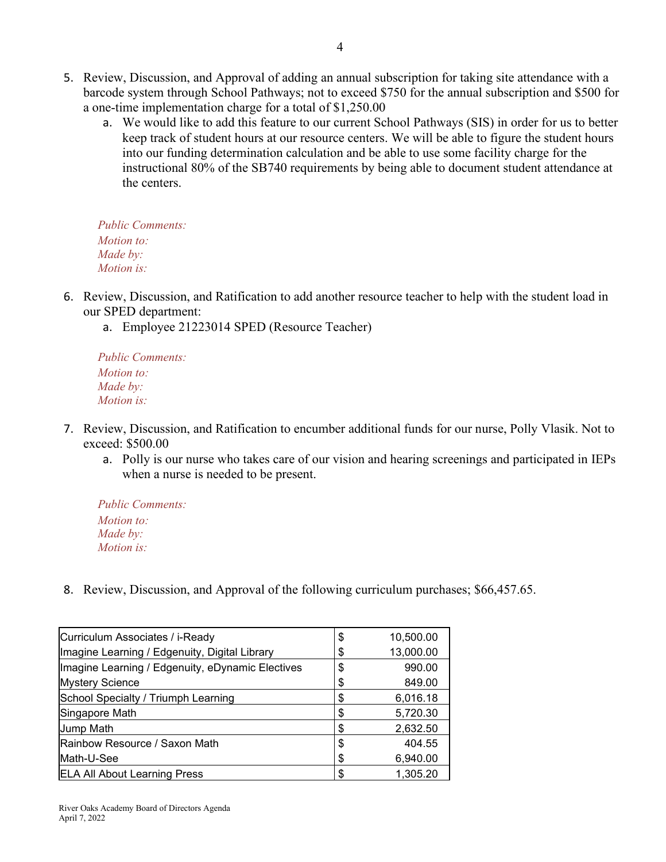- 5. Review, Discussion, and Approval of adding an annual subscription for taking site attendance with a barcode system through School Pathways; not to exceed \$750 for the annual subscription and \$500 for a one-time implementation charge for a total of \$1,250.00
	- a. We would like to add this feature to our current School Pathways (SIS) in order for us to better keep track of student hours at our resource centers. We will be able to figure the student hours into our funding determination calculation and be able to use some facility charge for the instructional 80% of the SB740 requirements by being able to document student attendance at the centers.

*Public Comments: Motion to: Made by: Motion is:*

- 6. Review, Discussion, and Ratification to add another resource teacher to help with the student load in our SPED department:
	- a. Employee 21223014 SPED (Resource Teacher)

*Public Comments: Motion to: Made by: Motion is:*

- 7. Review, Discussion, and Ratification to encumber additional funds for our nurse, Polly Vlasik. Not to exceed: \$500.00
	- a. Polly is our nurse who takes care of our vision and hearing screenings and participated in IEPs when a nurse is needed to be present.

*Public Comments: Motion to: Made by: Motion is:*

8. Review, Discussion, and Approval of the following curriculum purchases; \$66,457.65.

| Curriculum Associates / i-Ready                  | S  | 10,500.00 |
|--------------------------------------------------|----|-----------|
| Imagine Learning / Edgenuity, Digital Library    | \$ | 13,000.00 |
| Imagine Learning / Edgenuity, eDynamic Electives | \$ | 990.00    |
| <b>Mystery Science</b>                           | \$ | 849.00    |
| School Specialty / Triumph Learning              | \$ | 6,016.18  |
| Singapore Math                                   | \$ | 5,720.30  |
| Jump Math                                        | \$ | 2,632.50  |
| Rainbow Resource / Saxon Math                    | \$ | 404.55    |
| Math-U-See                                       | \$ | 6,940.00  |
| <b>ELA All About Learning Press</b>              | S  | 1,305.20  |